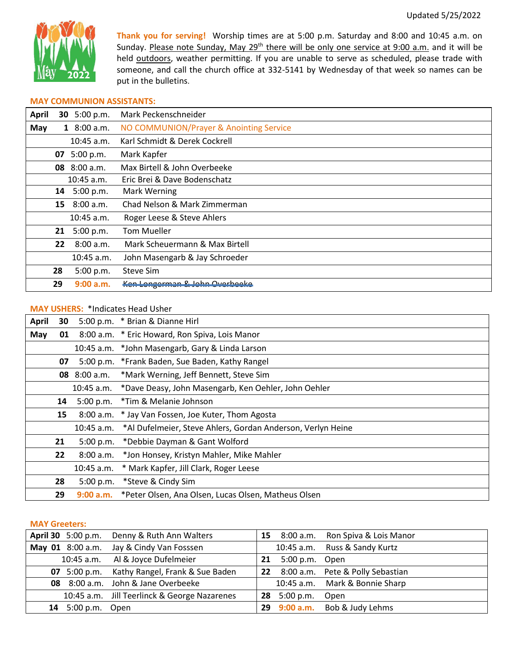

**Thank you for serving!** Worship times are at 5:00 p.m. Saturday and 8:00 and 10:45 a.m. on Sunday. Please note Sunday, May 29<sup>th</sup> there will be only one service at 9:00 a.m. and it will be held outdoors, weather permitting. If you are unable to serve as scheduled, please trade with someone, and call the church office at 332-5141 by Wednesday of that week so names can be put in the bulletins.

### **MAY COMMUNION ASSISTANTS:**

| <b>April</b> |    | 30 5:00 p.m.  | Mark Peckenschneider                    |
|--------------|----|---------------|-----------------------------------------|
| May          |    | 1 $8:00 a.m.$ | NO COMMUNION/Prayer & Anointing Service |
|              |    | $10:45$ a.m.  | Karl Schmidt & Derek Cockrell           |
|              | 07 | 5:00 p.m.     | Mark Kapfer                             |
|              |    | 08 8:00 a.m.  | Max Birtell & John Overbeeke            |
|              |    | $10:45$ a.m.  | Eric Brei & Dave Bodenschatz            |
|              | 14 | 5:00 p.m.     | Mark Werning                            |
|              | 15 | 8:00 a.m.     | Chad Nelson & Mark Zimmerman            |
|              |    | 10:45 a.m.    | Roger Leese & Steve Ahlers              |
|              | 21 | 5:00 p.m.     | <b>Tom Mueller</b>                      |
|              | 22 | 8:00 a.m.     | Mark Scheuermann & Max Birtell          |
|              |    | $10:45$ a.m.  | John Masengarb & Jay Schroeder          |
|              | 28 | 5:00 p.m.     | Steve Sim                               |
|              | 29 | 9:00 a.m.     | Ken Longerman & John Overbeeke          |

# **MAY USHERS:** \*Indicates Head Usher

| <b>April</b> | 30                                                         |            | 5:00 p.m. * Brian & Dianne Hirl                                 |
|--------------|------------------------------------------------------------|------------|-----------------------------------------------------------------|
| May          | 8:00 a.m. * Eric Howard, Ron Spiva, Lois Manor<br>01       |            |                                                                 |
|              |                                                            |            | 10:45 a.m. *John Masengarb, Gary & Linda Larson                 |
|              | 07                                                         |            | 5:00 p.m. *Frank Baden, Sue Baden, Kathy Rangel                 |
|              | *Mark Werning, Jeff Bennett, Steve Sim<br>$08\,$ 8:00 a.m. |            |                                                                 |
|              |                                                            |            | 10:45 a.m. *Dave Deasy, John Masengarb, Ken Oehler, John Oehler |
|              | 14                                                         | 5:00 p.m.  | *Tim & Melanie Johnson                                          |
|              | 15                                                         |            | 8:00 a.m. * Jay Van Fossen, Joe Kuter, Thom Agosta              |
|              |                                                            | 10:45 a.m. | *Al Dufelmeier, Steve Ahlers, Gordan Anderson, Verlyn Heine     |
|              | 21                                                         | 5:00 p.m.  | *Debbie Dayman & Gant Wolford                                   |
|              | 22                                                         | 8:00 a.m.  | *Jon Honsey, Kristyn Mahler, Mike Mahler                        |
|              |                                                            |            | 10:45 a.m. * Mark Kapfer, Jill Clark, Roger Leese               |
|              | 28                                                         | 5:00 p.m.  | *Steve & Cindy Sim                                              |
|              | 29                                                         | 9:00 a.m.  | *Peter Olsen, Ana Olsen, Lucas Olsen, Matheus Olsen             |

#### **MAY Greeters:**

|                      | April 30 5:00 p.m. Denny & Ruth Ann Walters  |    |                | 15 8:00 a.m. Ron Spiva & Lois Manor |
|----------------------|----------------------------------------------|----|----------------|-------------------------------------|
|                      | May 01 8:00 a.m. Jay & Cindy Van Fosssen     |    |                | 10:45 a.m. Russ & Sandy Kurtz       |
|                      | 10:45 a.m. Al & Joyce Dufelmeier             | 21 | 5:00 p.m. Open |                                     |
|                      | 07 5:00 p.m. Kathy Rangel, Frank & Sue Baden |    |                | 22 8:00 a.m. Pete & Polly Sebastian |
|                      | 08 8:00 a.m. John & Jane Overbeeke           |    |                | 10:45 a.m. Mark & Bonnie Sharp      |
|                      | 10:45 a.m. Jill Teerlinck & George Nazarenes | 28 | 5:00 p.m.      | Open                                |
| 5:00 p.m. Open<br>14 |                                              | 29 |                | 9:00 a.m. Bob & Judy Lehms          |